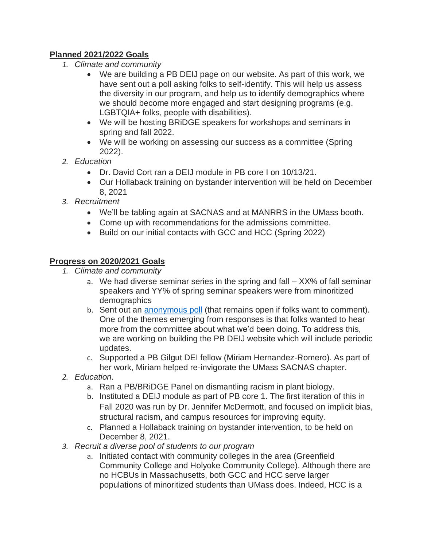## **Planned 2021/2022 Goals**

- *1. Climate and community*
	- We are building a PB DEIJ page on our website. As part of this work, we have sent out a poll asking folks to self-identify. This will help us assess the diversity in our program, and help us to identify demographics where we should become more engaged and start designing programs (e.g. LGBTQIA+ folks, people with disabilities).
	- We will be hosting BRiDGE speakers for workshops and seminars in spring and fall 2022.
	- We will be working on assessing our success as a committee (Spring 2022).
- *2. Education*
	- Dr. David Cort ran a DEIJ module in PB core I on 10/13/21.
	- Our Hollaback training on bystander intervention will be held on December 8, 2021
- *3. Recruitment*
	- We'll be tabling again at SACNAS and at MANRRS in the UMass booth.
	- Come up with recommendations for the admissions committee.
	- Build on our initial contacts with GCC and HCC (Spring 2022)

## **Progress on 2020/2021 Goals**

- *1. Climate and community*
	- a. We had diverse seminar series in the spring and fall XX% of fall seminar speakers and YY% of spring seminar speakers were from minoritized demographics
	- b. Sent out an [anonymous poll](https://forms.gle/jwS55CVpqGBH7PGn7) (that remains open if folks want to comment). One of the themes emerging from responses is that folks wanted to hear more from the committee about what we'd been doing. To address this, we are working on building the PB DEIJ website which will include periodic updates.
	- c. Supported a PB Gilgut DEI fellow (Miriam Hernandez-Romero). As part of her work, Miriam helped re-invigorate the UMass SACNAS chapter.
- *2. Education.*
	- a. Ran a PB/BRiDGE Panel on dismantling racism in plant biology.
	- b. Instituted a DEIJ module as part of PB core 1. The first iteration of this in Fall 2020 was run by Dr. Jennifer McDermott, and focused on implicit bias, structural racism, and campus resources for improving equity.
	- c. Planned a Hollaback training on bystander intervention, to be held on December 8, 2021.
- *3. Recruit a diverse pool of students to our program*
	- a. Initiated contact with community colleges in the area (Greenfield Community College and Holyoke Community College). Although there are no HCBUs in Massachusetts, both GCC and HCC serve larger populations of minoritized students than UMass does. Indeed, HCC is a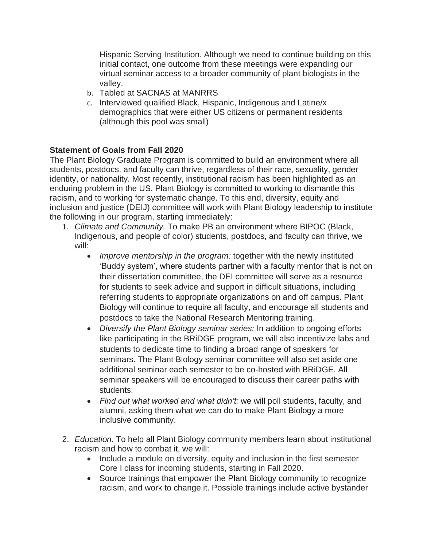Hispanic Serving Institution. Although we need to continue building on this initial contact, one outcome from these meetings were expanding our virtual seminar access to a broader community of plant biologists in the valley.

- b. Tabled at SACNAS at MANRRS
- c. Interviewed qualified Black, Hispanic, Indigenous and Latine/x demographics that were either US citizens or permanent residents (although this pool was small)

## **Statement of Goals from Fall 2020**

The Plant Biology Graduate Program is committed to build an environment where all students, postdocs, and faculty can thrive, regardless of their race, sexuality, gender identity, or nationality. Most recently, institutional racism has been highlighted as an enduring problem in the US. Plant Biology is committed to working to dismantle this racism, and to working for systematic change. To this end, diversity, equity and inclusion and justice (DEIJ) committee will work with Plant Biology leadership to institute the following in our program, starting immediately:

- 1. *Climate and Community.* To make PB an environment where BIPOC (Black, Indigenous, and people of color) students, postdocs, and faculty can thrive, we will:
	- *Improve mentorship in the program:* together with the newly instituted 'Buddy system', where students partner with a faculty mentor that is not on their dissertation committee, the DEI committee will serve as a resource for students to seek advice and support in difficult situations, including referring students to appropriate organizations on and off campus. Plant Biology will continue to require all faculty, and encourage all students and postdocs to take the National Research Mentoring training.
	- *Diversify the Plant Biology seminar series:* In addition to ongoing efforts like participating in the BRiDGE program, we will also incentivize labs and students to dedicate time to finding a broad range of speakers for seminars. The Plant Biology seminar committee will also set aside one additional seminar each semester to be co-hosted with BRiDGE. All seminar speakers will be encouraged to discuss their career paths with students.
	- *Find out what worked and what didn't:* we will poll students, faculty, and alumni, asking them what we can do to make Plant Biology a more inclusive community.
- 2. *Education.* To help all Plant Biology community members learn about institutional racism and how to combat it, we will:
	- Include a module on diversity, equity and inclusion in the first semester Core I class for incoming students, starting in Fall 2020.
	- Source trainings that empower the Plant Biology community to recognize racism, and work to change it. Possible trainings include active bystander